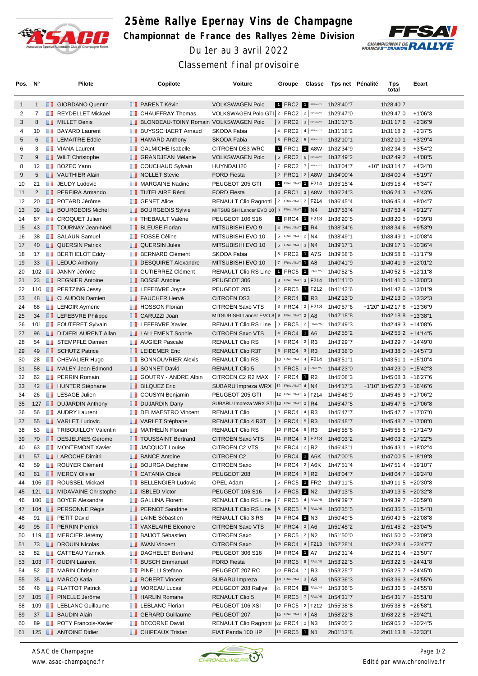

## **25ème Rallye Epernay Vins de Champagne Championnat de France des Rallyes 2ème Division** Du 1er au 3 avril 2022



Classement final provisoire

| Pos. N°        |                | Pilote                                       |    | Copilote                                     | Voiture                                                | Groupe          | Classe                                     | Tps net Pénalité                 | Tps<br>total                             | Ecart      |  |
|----------------|----------------|----------------------------------------------|----|----------------------------------------------|--------------------------------------------------------|-----------------|--------------------------------------------|----------------------------------|------------------------------------------|------------|--|
| $\mathbf{1}$   | $\mathbf{1}$   | <b>B</b> GIORDANO Quentin                    |    | <b>PARENT Kévin</b>                          | <b>VOLKSWAGEN Polo</b>                                 |                 |                                            | 1 FRC2 1 RS/RALLY2 1h28'40"7     | 1h28'40"7                                |            |  |
| 2              | $\overline{7}$ | <b>REYDELLET Mickael</b>                     |    | <b>CHAUFFRAY Thomas</b>                      | VOLKSWAGEN Polo GTI 2   FRC2   2   RSIRALLY2           |                 |                                            | 1h29'47"0                        | 1h29'47"0                                | +1'06"3    |  |
| 3              | 8              | MILLET Denis                                 |    | <b>BLONDEAU-TOINY Romain VOLKSWAGEN Polo</b> |                                                        |                 | $ 3 $ FRC2 $ 3 $ RSIRALLY2                 | 1h31'17"6                        | 1h31'17"6                                | $+2'36''9$ |  |
| 4              | 10             | <b>BAYARD Laurent</b>                        | m  | <b>BUYSSCHAERT Arnaud</b>                    | SKODA Fabia                                            |                 | $ 4 $ FRC2 $ 4 $ RS/RALLY2                 | 1h31'18"2                        | 1h31'18"2                                | $+2'37"5$  |  |
| 5              | 6              | <b>EXECUTE Eddie</b>                         |    | <b>B</b> HAMARD Anthony                      | SKODA Fabia                                            |                 | $ 5 $ FRC2 $ 5 $ RS/RALLY2                 | 1h32'10"1                        | 1h32'10"1                                | $+3'29''4$ |  |
| 6              | 3              | <b>NANA</b> Laurent                          | u. | <b>GALMICHE Isabelle</b>                     | CITROËN DS3 WRC                                        |                 | 1 FRC1 1 A8W                               | 1h32'34"9                        | 1h32'34"9                                | $+3'54''2$ |  |
| $\overline{7}$ | 9              | <b>NILT</b> Christophe                       |    | <b>BE GRANDJEAN Mélanie</b>                  | <b>VOLKSWAGEN Polo</b>                                 |                 | $6$ FRC2 $6$ RSRALLY2                      | 1h32'49"2                        | 1h32'49"2                                | +4'08"5    |  |
| 8              | 12             | <b>BOZEC Yann</b>                            | w  | <b>COUCHAUD Sylvain</b>                      | HUYNDAI I20                                            |                 | $ 7 $ FRC2 $ 7 $ RS/RALLY2                 | 1h33'04"7                        | +10" 1h33'14"7                           | +4'34"0    |  |
| 9              | 5              | VAUTHIER Alain                               |    | NOLLET Stevie                                | <b>FORD Fiesta</b>                                     |                 | 2   FRC1   2   A8W                         | 1h34'00"4                        | 1h34'00"4                                | +5'19"7    |  |
| 10             | 21             | <b>JEUDY Ludovic</b>                         |    | MARGAINE Nadine                              | PEUGEOT 205 GTI                                        |                 | FRALLYNAT 1 F214                           | 1h35'15"4                        | 1h35'15"4                                | $+6'34''7$ |  |
| 11             | $\overline{2}$ | <b>FREIRA</b> Armando                        |    | <b>TUTELAIRE Rémi</b>                        | <b>FORD Fiesta</b>                                     |                 | $ 3 $ FRC1 $ 3 $ A8W                       | 1h36'24"3                        | 1h36'24"3                                | +7'43"6    |  |
| 12             | 20             | <b>DE POTARD Jérôme</b>                      |    | <b>B</b> GENET Alice                         | RENAULT Clio Ragnotti   2   FRALLYNAT 2   F214         |                 |                                            | 1h36'45"4                        | 1h36'45"4                                | +8'04"7    |  |
| 13             | 39             | <b>BOURGEOIS Michel</b>                      |    | <b>BOURGEOIS Sylvie</b>                      | MITSUBISHI Lancer EVO 10 3   FRALLYNAT 1 N4            |                 |                                            | 1h37'53"4                        | 1h37'53"4                                | +9'12"7    |  |
| 14             | 67             | <b>CROQUET Julien</b>                        | m  | <b>THEBAULT Valérie</b>                      | <b>PEUGEOT 106 S16</b>                                 |                 | 1 FRC4 1 F213                              | 1h38'20"5                        | 1h38'20"5                                | +9'39"8    |  |
| 15             | 43             | <b>TOURNAY Jean-Noël</b>                     |    | <b>BLEUSE Florian</b>                        | MITSUBISHI EVO 9                                       |                 | 4 FRALLYNAT 1 R4                           | 1h38'34"6                        | 1h38'34"6                                | +9'53"9    |  |
| 16             | 38             | <b>B</b> SALAUN Samuel                       |    | <b>FOSSE Céline</b>                          | MITSUBISHI EVO 10                                      |                 | $ 5 $ FRALLYNAT $2 NA$                     | 1h38'49"1                        | 1h38'49"1 +10'08"4                       |            |  |
| 17             | 40             | <b>QUERSIN Patrick</b>                       |    | <b>I</b> QUERSIN Jules                       | MITSUBISHI EVO 10                                      |                 | $6$ Frallynat 3   N4                       | 1h39'17"1                        | 1h39'17"1 +10'36"4                       |            |  |
| 18             | 17             | <b>BERTHELOT Eddy</b>                        |    | <b>BERNARD Clément</b>                       | SKODA Fabia                                            |                 | 8 FRC2 1 A7S                               | 1h39'58"6                        | 1h39'58"6 +11'17"9                       |            |  |
| 19             | 33             | <b>LEDUC Anthony</b>                         |    | DESQUIRET Alexandre                          | MITSUBISHI EVO 10                                      |                 | 7 FRALLYNAT 1 A8                           | 1h40'41"9                        | 1h40'41"9 +12'01"2                       |            |  |
| 20             |                | 102 JANNY Jérôme                             | ш  | <b>GUTIERREZ Clément</b>                     | <b>RENAULT Clio RS Line</b>                            |                 | 1 FRC5 1 RALLYS                            | 1h40'52"5                        | 1h40'52"5 +12'11"8                       |            |  |
| 21             | 23             | REGNIER Antoine                              |    | <b>BOSSE Antoine</b>                         | PEUGEOT 306                                            |                 | 8   FRALLYNAT 3   F214                     | 1h41'41"0                        | 1h41'41"0 +13'00"3                       |            |  |
| 22             |                | 110 <b>B</b> PERTZING Jessy                  |    | <b>LEFEBVRE</b> Joyce                        | PEUGEOT 205                                            |                 |                                            | 2 FRC5 1 F212 1h41'42"6          | 1h41'42"6 +13'01"9                       |            |  |
| 23             | 48             | <b>CLAUDON Damien</b>                        |    | <b>FAUCHER Hervé</b>                         | CITROËN DS3                                            |                 | $ 2 $ FRC4 1 R3                            | 1h42'13"0                        | 1h42'13"0 +13'32"3                       |            |  |
| 24             | 68             | <b>EXECUTE Aymeric</b>                       |    | <b>T</b> HOSSON Florian                      | CITROËN Saxo VTS                                       |                 | 3   FRC4   2   F213                        | 1h40'57"6                        | +1'20" 1h42'17"6 +13'36"9                |            |  |
| 25             | 34             | <b>LEFEBVRE Philippe</b>                     |    | <b>CARUZZI Joan</b>                          | MITSUBISHI Lancer EVO 8 9   FRALLYNAT 2   A8           |                 |                                            | 1h42'18"8                        | 1h42'18"8 +13'38"1                       |            |  |
| 26             | 101            | <b>FOUTERET Sylvain</b>                      | ш  | <b>LEFEBVRE Xavier</b>                       | RENAULT Clio RS Line   3   FRC5   2   RALLYS           |                 |                                            | 1h42'49"3                        | 1h42'49"3 +14'08"6                       |            |  |
| 27             | 96             | DIDIERLAURENT Allan                          |    | <b>LALLEMENT Sophie</b>                      | CITROËN Saxo VTS                                       | $ 4 $ FRC4 1 A6 |                                            | 1h42'55"2                        | 1h42'55"2 +14'14"5                       |            |  |
| 28             | 54             | <b>T</b> STEMPFLE Damien                     |    | <b>NET</b> AUGIER Pascale                    | RENAULT Clio RS                                        |                 | $ 5 $ FRC4 $ 2 $ R3                        | 1h43'29"7                        | 1h43'29"7 +14'49"0                       |            |  |
| 29             | 49             | SCHUTZ Patrice                               |    | <b>T</b> LEIDEMER Eric                       | RENAULT Clio R3T                                       |                 | 6   FRC4   3   R3<br>10 FRALLYNAT 4   F214 | 1h43'38"0                        | 1h43'38"0 +14'57"3                       |            |  |
| 30             | 28<br>58       | <b>B</b> CHEVALIER Hugo<br>MALEY Jean-Edmond | ш  | <b>BONNOUVRIER Alexis</b><br>SONNET David    | <b>RENAULT Clio RS</b><br><b>RENAULT Clio 5</b>        |                 | 4   <b>FRC5</b>   3   RALLYS               | 1h43'51"1                        | 1h43'51"1 +15'10"4                       |            |  |
| 31<br>32       | 62             | <b>FRAIN Romain</b>                          | ш  | <b>GOUTRY - ANDRE Albin</b>                  | CITROEN C2 R2 MAX                                      |                 | $ 7 $ FRC4 1 R2                            | 1h44'23"0<br>1h45'08"3           | 1h44'23"0 +15'42"3<br>1h45'08"3 +16'27"6 |            |  |
| 33             | 42             | <b>Fig.</b> HUNTER Stéphane                  |    | <b>BILQUEZ Eric</b>                          | SUBARU Impreza WRX  11   FRALLYNAT   4   N4            |                 |                                            | 1h44'17"3                        | +1'10" 1h45'27"3 +16'46"6                |            |  |
| 34             | 26             | <b>EXAGE Julien</b>                          |    | COUSYN Benjamin                              | PEUGEOT 205 GTI                                        |                 | 12 FRALLYNAT 5   F214                      | 1h45'46"9                        | 1h45'46"9 +17'06"2                       |            |  |
| 35             |                | 127 <b>DUJARDIN Anthony</b>                  |    | <b>DUJARDIN Dany</b>                         | SUBARU Impreza WRX STI   13   FRALLYNAT   2   R4       |                 |                                            | 1h45'47"5                        | 1h45'47"5 +17'06"8                       |            |  |
| 36             | 56             | <b>B</b> AUDRY Laurent                       |    | DELMAESTRO Vincent                           | <b>RENAULT Clio</b>                                    |                 | 8   FRC4   4   R3                          | 1h45'47"7                        | 1h45'47"7 +17'07"0                       |            |  |
| 37             | 55             | <b>NEW VARLET Ludovic</b>                    |    | <b>DE VARLET Stéphane</b>                    | RENAULT Clio 4 R3T                                     |                 | $ 9 $ FRC4 $ 5 $ R3                        | 1h45'48"7                        | 1h45'48"7 +17'08"0                       |            |  |
| 38             | 53             | <b>TRIBOUILLOY Valentin</b>                  |    | MATHELIN Florian                             | RENAULT Clio RS                                        |                 | 10 FRC4 6 R3                               | 1h45'55"6                        | 1h45'55"6 +17'14"9                       |            |  |
| 39             |                | 70 <b>DESJEUNES</b> Gerome                   |    | <b>TEXA TOUSSAINT Bertrand</b>               | CITROËN Saxo VTS                                       |                 |                                            | $ 11 $ FRC4 $ 3 $ F213 1h46'03"2 | 1h46'03"2 +17'22"5                       |            |  |
| 40             | 63             | <b>NONTEMONT Xavier</b>                      |    | <b>JACQUOT Louise</b>                        | CITROËN C2 VTS                                         |                 | $ 12 $ FRC4 $ 2 $ R2                       | 1h46'43"1                        | 1h46'43"1 +18'02"4                       |            |  |
| 41             |                | 57 <b>I</b> LAROCHE Dimitri                  |    | <b>BANCE Antoine</b>                         | CITROEN C2                                             |                 | $ 13 $ FRC4 $\blacksquare$ A6K             | 1h47'00"5                        | 1h47'00"5 +18'19"8                       |            |  |
| 42             | 59             | <b>ROUYER Clément</b>                        |    | <b>BOURGA Delphine</b>                       | <b>CITROEN Saxo</b>                                    |                 |                                            | $ 14 $ FRC4 $ 2 $ A6K 1h47'51"4  | 1h47'51"4 +19'10"7                       |            |  |
| 43             |                | 61 MERCY Olivier                             |    | <b>BECATANIA Chloé</b>                       | PEUGEOT 208                                            |                 | 15 FRC4 3 R2                               | 1h48'04"7                        | 1h48'04"7 +19'24"0                       |            |  |
| 44             |                | 106 <b>B</b> ROUSSEL Mickaël                 |    | <b>BELLENGIER Ludovic</b>                    | OPEL Adam                                              |                 | $ 5 $ FRC5 1 FR2                           | 1h49'11"5                        | 1h49'11"5 +20'30"8                       |            |  |
| 45             |                | 121 <b>MIDAVAINE Christophe</b>              |    | <b>B</b> ISBLED Victor                       | PEUGEOT 106 S16                                        |                 | $ 6 $ FRC5 $\blacksquare$ N2               | 1h49'13"5                        | 1h49'13"5 +20'32"8                       |            |  |
| 46             |                | 100 BOYER Alexandre                          |    | <b>B</b> GALLINA Florent                     | RENAULT Clio RS Line  7   FRC5   4   RALLY5 1h49'39"7  |                 |                                            |                                  | 1h49'39"7 +20'59"0                       |            |  |
| 47             |                | 104 <b>B</b> PERSONNE Régis                  |    | <b>FRINOT Sandrine</b>                       | RENAULT Clio RS Line   8   FRC5   5   RALLYS 1h50'35"5 |                 |                                            |                                  | 1h50'35"5 +21'54"8                       |            |  |
| 48             | 91             | <b>PETIT David</b>                           |    | <b>DE</b> LAINE Sébastien                    | RENAULT Clio 3 RS                                      |                 | 16 FRC4 1 N3                               | 1h50'49"5                        | 1h50'49"5 +22'08"8                       |            |  |
| 49             | 95             | <b>FRERRIN Pierrick</b>                      |    | VAXELAIRE Eleonore                           | CITROËN Saxo VTS                                       |                 | $ 17 $ FRC4 $ 2 A6$                        | 1h51'45"2                        | 1h51'45"2 +23'04"5                       |            |  |
| 50             |                | 119 <b>B</b> MERCIER Jérémy                  |    | <b>BAIJOT Sébastien</b>                      | CITROËN Saxo                                           |                 | $ 9 $ FRC5 $ 2 $ N2                        | 1h51'50"0                        | 1h51'50"0 +23'09"3                       |            |  |
| 51             |                | 73 <b>IDROUIN Nicolas</b>                    |    | <b>I</b> IWAN Vincent                        | <b>CITROEN Saxo</b>                                    |                 |                                            | 18 FRC4   4   F213 1h52'28"4     | 1h52'28"4 +23'47"7                       |            |  |
| 52             | 82             | <b>CATTEAU Yannick</b>                       |    | DAGHELET Bertrand                            | PEUGEOT 306 S16                                        |                 | 19 FRC4 1 A7                               | 1h52'31"4                        | 1h52'31"4 +23'50"7                       |            |  |
| 53             |                | 103 <b>J</b> OUDIN Laurent                   |    | <b>BUSCH Emmanuel</b>                        | <b>FORD Fiesta</b>                                     |                 | 10 FRC5 6 RALLY5                           | 1h53'22"5                        | 1h53'22"5 +24'41"8                       |            |  |
| 54             | 52             | <b>NARIN Christian</b>                       |    | <b>PINELLI Stefano</b>                       | PEUGEOT 207 RC                                         |                 | $ 20 $ FRC4 $ 7 $ R3                       | 1h53'25"7                        | 1h53'25"7 +24'45"0                       |            |  |
| 55             | 35             | <b>NARCQ Katia</b>                           |    | ROBERT Vincent                               | SUBARU Impreza                                         |                 | $14$ FRALLYNAT 3 $AB$                      | 1h53'36"3                        | 1h53'36"3 +24'55"6                       |            |  |
| 56             | 46             | <b>FLATTOT Patrick</b>                       |    | <b>NOREAU Lucas</b>                          | PEUGEOT 208 Rallye                                     |                 |                                            | 21 FRC4 1 RALLY4 1h53'36"5       | 1h53'36"5 +24'55"8                       |            |  |
| 57             |                | 105 <b>B</b> PINELLE Jérôme                  |    | <b>B</b> HARLIN Romane                       | RENAULT Clio 5                                         |                 |                                            | 11 FRC5 7 RALLY5 1h54'31"7       | 1h54'31"7 +25'51"0                       |            |  |
| 58             | 109            | <b>EXECUTE:</b> LEBLANC Guillaume            |    | <b>LEBLANC Florian</b>                       | PEUGEOT 106 XSI                                        |                 |                                            | 12 FRC5   2   F212 1h55'38"8     | 1h55'38"8 +26'58"1                       |            |  |
| 59             | 37             | <b>BAUDIN Alain</b>                          |    | GERARD Guillaume                             | PEUGEOT 207                                            |                 | $ 15 $ FRALLYNAT 4   A8                    | 1h58'22"8                        | 1h58'22"8 +29'42"1                       |            |  |
| 60             | 89             | <b>FOLY Francois-Xavier</b>                  |    | DECORNE David                                | RENAULT Clio Ragnotti  22 FRC4   2   N3                |                 |                                            | 1h59'05"2                        | 1h59'05"2 +30'24"5                       |            |  |
| 61             |                | 125 <b>B</b> ANTOINE Didier                  |    | <b>CHIPEAUX Tristan</b>                      | FIAT Panda 100 HP                                      |                 | 13 FRC5 1 N1                               | 2h01'13"8                        | 2h01'13"8 +32'33"1                       |            |  |

*ASAC de Champagne www. asac-champagne.fr*